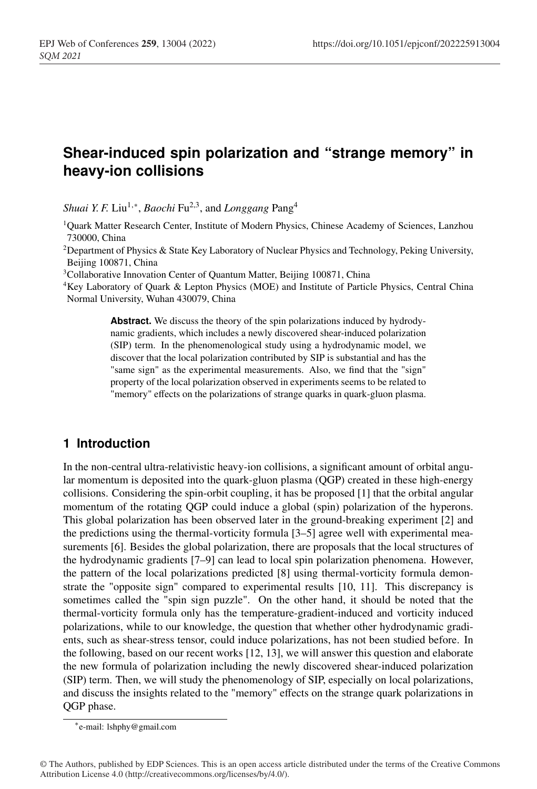# **Shear-induced spin polarization and "strange memory" in heavy-ion collisions**

*Shuai Y. F.* Liu<sup>1,∗</sup>, *Baochi* Fu<sup>2,3</sup>, and *Longgang* Pang<sup>4</sup>

1Quark Matter Research Center, Institute of Modern Physics, Chinese Academy of Sciences, Lanzhou 730000, China

<sup>2</sup>Department of Physics & State Key Laboratory of Nuclear Physics and Technology, Peking University, Beijing 100871, China

<sup>3</sup>Collaborative Innovation Center of Quantum Matter, Beijing 100871, China

4Key Laboratory of Quark & Lepton Physics (MOE) and Institute of Particle Physics, Central China Normal University, Wuhan 430079, China

> **Abstract.** We discuss the theory of the spin polarizations induced by hydrodynamic gradients, which includes a newly discovered shear-induced polarization (SIP) term. In the phenomenological study using a hydrodynamic model, we discover that the local polarization contributed by SIP is substantial and has the "same sign" as the experimental measurements. Also, we find that the "sign" property of the local polarization observed in experiments seems to be related to "memory" effects on the polarizations of strange quarks in quark-gluon plasma.

# **1 Introduction**

In the non-central ultra-relativistic heavy-ion collisions, a significant amount of orbital angular momentum is deposited into the quark-gluon plasma (QGP) created in these high-energy collisions. Considering the spin-orbit coupling, it has be proposed [1] that the orbital angular momentum of the rotating QGP could induce a global (spin) polarization of the hyperons. This global polarization has been observed later in the ground-breaking experiment [2] and the predictions using the thermal-vorticity formula [3–5] agree well with experimental measurements [6]. Besides the global polarization, there are proposals that the local structures of the hydrodynamic gradients [7–9] can lead to local spin polarization phenomena. However, the pattern of the local polarizations predicted [8] using thermal-vorticity formula demonstrate the "opposite sign" compared to experimental results [10, 11]. This discrepancy is sometimes called the "spin sign puzzle". On the other hand, it should be noted that the thermal-vorticity formula only has the temperature-gradient-induced and vorticity induced polarizations, while to our knowledge, the question that whether other hydrodynamic gradients, such as shear-stress tensor, could induce polarizations, has not been studied before. In the following, based on our recent works [12, 13], we will answer this question and elaborate the new formula of polarization including the newly discovered shear-induced polarization (SIP) term. Then, we will study the phenomenology of SIP, especially on local polarizations, and discuss the insights related to the "memory" effects on the strange quark polarizations in QGP phase.

<sup>∗</sup>e-mail: lshphy@gmail.com

<sup>©</sup> The Authors, published by EDP Sciences. This is an open access article distributed under the terms of the Creative Commons Attribution License 4.0 (http://creativecommons.org/licenses/by/4.0/).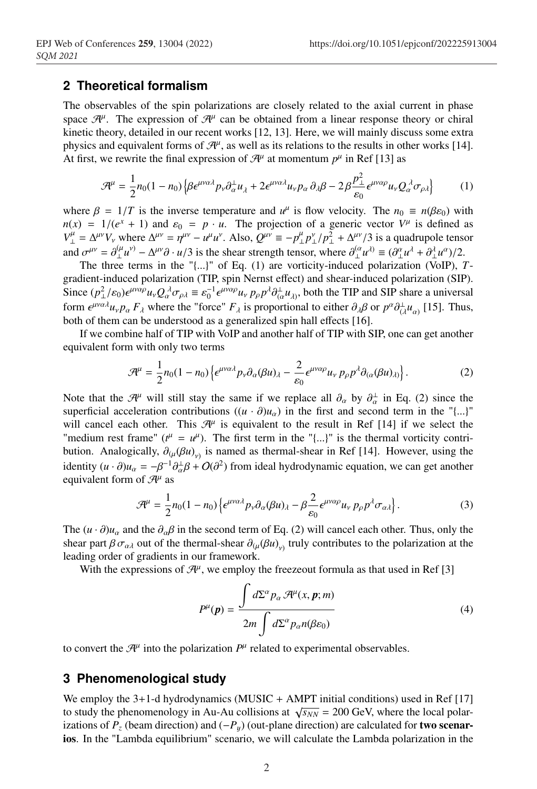## **2 Theoretical formalism**

The observables of the spin polarizations are closely related to the axial current in phase space  $\mathcal{H}^{\mu}$ . The expression of  $\mathcal{H}^{\mu}$  can be obtained from a linear response theory or chiral kinetic theory, detailed in our recent works [12, 13]. Here, we will mainly discuss some extra physics and equivalent forms of  $\mathcal{H}^{\mu}$ , as well as its relations to the results in other works [14]. At first, we rewrite the final expression of  $\mathcal{H}^{\mu}$  at momentum  $p^{\mu}$  in Ref [13] as

$$
\mathcal{A}^{\mu} = \frac{1}{2} n_0 (1 - n_0) \left\{ \beta \epsilon^{\mu \nu \alpha \lambda} p_{\nu} \partial_{\alpha}^{\perp} u_{\lambda} + 2 \epsilon^{\mu \nu \alpha \lambda} u_{\nu} p_{\alpha} \partial_{\lambda} \beta - 2 \beta \frac{p_{\perp}^2}{\epsilon_0} \epsilon^{\mu \nu \alpha \rho} u_{\nu} Q_{\alpha}^{\lambda} \sigma_{\rho \lambda} \right\} \tag{1}
$$

where  $\beta = 1/T$  is the inverse temperature and  $u^{\mu}$  is flow velocity. The  $n_0 \equiv n(\beta \varepsilon_0)$  with  $n(x) = 1/(e^x + 1)$  and  $\varepsilon_0 = p \cdot u$ . The projection of a generic vector  $V^{\mu}$  is defined as  $V_{\perp}^{\mu} = \Delta^{\mu\nu} V_{\nu}$  where  $\Delta^{\mu\nu} = \eta^{\mu\nu} - u^{\mu} u^{\nu}$ . Also,  $Q^{\mu\nu} \equiv -p_{\perp}^{\mu} p_{\perp}^{\nu} / p_{\perp}^2 + \Delta^{\mu\nu} / 3$  is a quadrupole tensor and  $\sigma^{\mu\nu} = \partial_{\perp}^{(\mu} u^{\nu)} - \Delta^{\mu\nu} \partial \cdot u/3$  is the shear strength tensor, where  $\partial_{\perp}^{(\alpha} u^{\lambda)} \equiv (\partial_{\perp}^{\alpha} u^{\lambda} + \partial_{\perp}^{\lambda} u^{\alpha})/2$ .

The three terms in the "{...}" of Eq. (1) are vorticity-induced polarization (VoIP), *T*gradient-induced polarization (TIP, spin Nernst effect) and shear-induced polarization (SIP). Since  $(p_\perp^2/\varepsilon_0) \epsilon^{\mu\nu\alpha\rho} u_\nu Q_\alpha^{\lambda} \sigma_{\rho\lambda} \equiv \varepsilon_0^{-1} \epsilon^{\mu\nu\alpha\rho} u_\nu p_\rho p^\lambda \partial^{\perp}_{(\alpha} u_{\lambda)},$  both the TIP and SIP share a universal form  $\epsilon^{\mu\nu\alpha\lambda}u_{\nu}p_{\alpha}F_{\lambda}$  where the "force"  $F_{\lambda}$  is proportional to either  $\partial_{\lambda}\beta$  or  $p^{\alpha}\partial_{(\lambda}^{\perp}u_{\alpha)}$  [15]. Thus, both of them can be understood as a generalized spin hall effects [16].

If we combine half of TIP with VoIP and another half of TIP with SIP, one can get another equivalent form with only two terms

$$
\mathcal{A}^{\mu} = \frac{1}{2} n_0 (1 - n_0) \left\{ \epsilon^{\mu \nu \alpha \lambda} p_{\nu} \partial_{\alpha} (\beta u)_{\lambda} - \frac{2}{\varepsilon_0} \epsilon^{\mu \nu \alpha \rho} u_{\nu} p_{\rho} p^{\lambda} \partial_{(\alpha} (\beta u)_{\lambda)} \right\}.
$$
 (2)

Note that the  $\mathcal{H}^{\mu}$  will still stay the same if we replace all  $\partial_{\alpha}$  by  $\partial_{\alpha}^{\perp}$  in Eq. (2) since the superficial acceleration contributions  $((u \cdot \partial)u_{\alpha})$  in the first and second term in the "{...}" will cancel each other. This  $\mathcal{H}^{\mu}$  is equivalent to the result in Ref [14] if we select the "medium rest frame" ( $t^{\mu} = u^{\mu}$ ). The first term in the "{...}" is the thermal vorticity contribution. Analogically,  $\partial_{(\mu}(\beta u)_{\nu)}$  is named as thermal-shear in Ref [14]. However, using the identity  $(u \cdot \partial)u_{\alpha} = -\beta^{-1}\partial_{\alpha}^{\perp}\beta + O(\partial^2)$  from ideal hydrodynamic equation, we can get another equivalent form of  $\mathcal{H}^{\mu}$  as

$$
\mathcal{A}^{\mu} = \frac{1}{2} n_0 (1 - n_0) \left\{ \epsilon^{\mu \nu \alpha \lambda} p_{\nu} \partial_{\alpha} (\beta u)_{\lambda} - \beta \frac{2}{\varepsilon_0} \epsilon^{\mu \nu \alpha \rho} u_{\nu} \, p_{\rho} p^{\lambda} \sigma_{\alpha \lambda} \right\}.
$$
 (3)

The  $(u \cdot \partial)u_{\alpha}$  and the  $\partial_{\alpha}\beta$  in the second term of Eq. (2) will cancel each other. Thus, only the shear part  $\beta \sigma_{\alpha\lambda}$  out of the thermal-shear  $\partial_{\mu}(\beta u)_{\nu}$  truly contributes to the polarization at the leading order of gradients in our framework.

With the expressions of  $\mathcal{H}^{\mu}$ , we employ the freezeout formula as that used in Ref [3]

$$
P^{\mu}(\mathbf{p}) = \frac{\int d\Sigma^{\alpha} p_{\alpha} \mathcal{A}^{\mu}(x, \mathbf{p}; m)}{2m \int d\Sigma^{\alpha} p_{\alpha} n(\beta \varepsilon_0)}
$$
(4)

to convert the  $\mathcal{H}^{\mu}$  into the polarization  $P^{\mu}$  related to experimental observables.

#### **3 Phenomenological study**

We employ the  $3+1$ -d hydrodynamics (MUSIC + AMPT initial conditions) used in Ref [17] to study the phenomenology in Au-Au collisions at  $\sqrt{s_{NN}}$  = 200 GeV, where the local polarizations of  $P_z$  (beam direction) and  $(-P_y)$  (out-plane direction) are calculated for **two scenar**ios. In the "Lambda equilibrium" scenario, we will calculate the Lambda polarization in the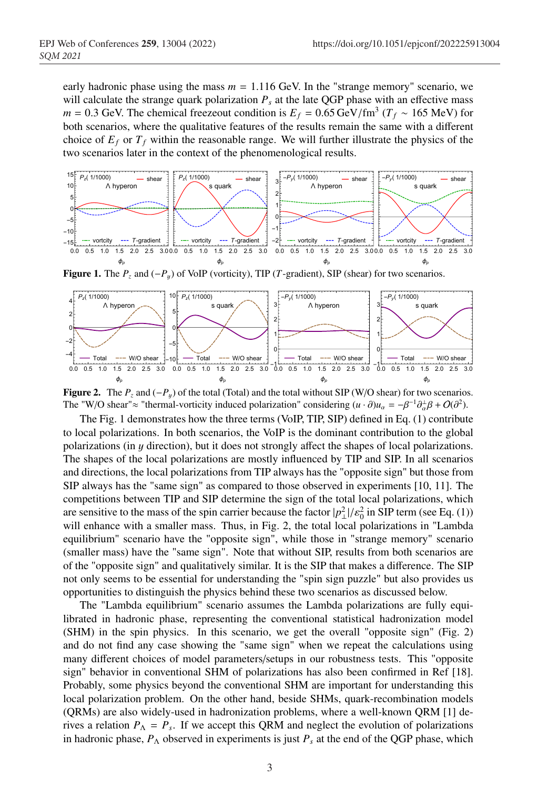early hadronic phase using the mass  $m = 1.116$  GeV. In the "strange memory" scenario, we will calculate the strange quark polarization  $P_s$  at the late QGP phase with an effective mass *m* = 0.3 GeV. The chemical freezeout condition is  $E_f = 0.65 \text{ GeV/fm}^3$  ( $T_f \sim 165 \text{ MeV}$ ) for both scenarios, where the qualitative features of the results remain the same with a different choice of  $E_f$  or  $T_f$  within the reasonable range. We will further illustrate the physics of the two scenarios later in the context of the phenomenological results.



Figure 1. The  $P_z$  and ( $-P_y$ ) of VoIP (vorticity), TIP (*T*-gradient), SIP (shear) for two scenarios.



Figure 2. The  $P_z$  and  $(-P_y)$  of the total (Total) and the total without SIP (W/O shear) for two scenarios. The "W/O shear"≈ "thermal-vorticity induced polarization" considering  $(u \cdot \partial)u_{\alpha} = -\beta^{-1}\partial_{\alpha}^{2}\beta + O(\partial^{2})$ .

The Fig. 1 demonstrates how the three terms (VoIP, TIP, SIP) defined in Eq. (1) contribute to local polarizations. In both scenarios, the VoIP is the dominant contribution to the global polarizations (in y direction), but it does not strongly affect the shapes of local polarizations. The shapes of the local polarizations are mostly influenced by TIP and SIP. In all scenarios and directions, the local polarizations from TIP always has the "opposite sign" but those from SIP always has the "same sign" as compared to those observed in experiments [10, 11]. The competitions between TIP and SIP determine the sign of the total local polarizations, which are sensitive to the mass of the spin carrier because the factor  $|p_\perp^2|/\varepsilon_0^2$  in SIP term (see Eq. (1)) will enhance with a smaller mass. Thus, in Fig. 2, the total local polarizations in "Lambda equilibrium" scenario have the "opposite sign", while those in "strange memory" scenario (smaller mass) have the "same sign". Note that without SIP, results from both scenarios are of the "opposite sign" and qualitatively similar. It is the SIP that makes a difference. The SIP not only seems to be essential for understanding the "spin sign puzzle" but also provides us opportunities to distinguish the physics behind these two scenarios as discussed below.

The "Lambda equilibrium" scenario assumes the Lambda polarizations are fully equilibrated in hadronic phase, representing the conventional statistical hadronization model (SHM) in the spin physics. In this scenario, we get the overall "opposite sign" (Fig. 2) and do not find any case showing the "same sign" when we repeat the calculations using many different choices of model parameters/setups in our robustness tests. This "opposite sign" behavior in conventional SHM of polarizations has also been confirmed in Ref [18]. Probably, some physics beyond the conventional SHM are important for understanding this local polarization problem. On the other hand, beside SHMs, quark-recombination models (QRMs) are also widely-used in hadronization problems, where a well-known QRM [1] derives a relation  $P_{\Lambda} = P_s$ . If we accept this QRM and neglect the evolution of polarizations in hadronic phase,  $P_{\Lambda}$  observed in experiments is just  $P_s$  at the end of the QGP phase, which